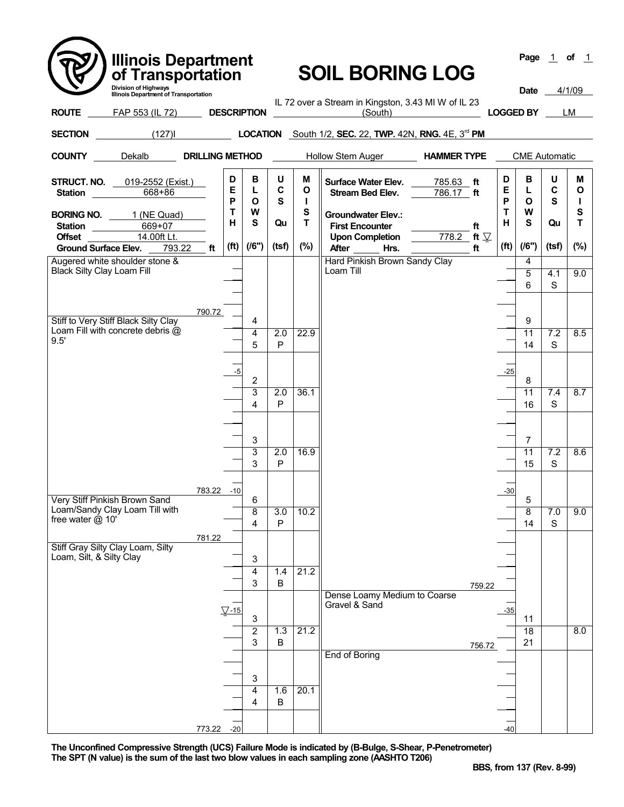| <b>Illinois Department</b><br>of Transportation                                                                               |                                                               |                        |             |                 | <b>SOIL BORING LOG</b>                                                                 |           |        |                   |                       |             | Page $1$ of $1$        |
|-------------------------------------------------------------------------------------------------------------------------------|---------------------------------------------------------------|------------------------|-------------|-----------------|----------------------------------------------------------------------------------------|-----------|--------|-------------------|-----------------------|-------------|------------------------|
|                                                                                                                               | Division of Highways<br>Illinois Department of Transportation |                        |             |                 |                                                                                        |           |        |                   |                       |             |                        |
| FAP 553 (IL 72) DESCRIPTION<br><b>ROUTE</b>                                                                                   |                                                               |                        |             |                 | IL 72 over a Stream in Kingston, 3.43 MI W of IL 23<br>(South)                         |           |        |                   | <b>LOGGED BY</b>      |             | LM                     |
| (127) <b>LOCATION</b> South 1/2, <b>SEC.</b> 22, <b>TWP.</b> 42N, <b>RNG.</b> 4E, 3 <sup>rd</sup> <b>PM</b><br><b>SECTION</b> |                                                               |                        |             |                 |                                                                                        |           |        |                   |                       |             |                        |
| <b>COUNTY</b> Dekalb <b>DRILLING METHOD</b> Hollow Stem Auger <b>HAMMER TYPE</b> CME Automatic                                |                                                               |                        |             |                 |                                                                                        |           |        |                   |                       |             |                        |
| <b>STRUCT. NO.</b> 019-2552 (Exist.)<br>668+86<br><b>Station Station</b>                                                      | D<br>Е<br>P                                                   | В<br>L<br>$\mathbf{o}$ | U<br>C<br>S | м<br>O<br>п     | Surface Water Elev. 785.63 ft<br>Stream Bed Elev.                                      | 786.17 ft |        | D<br>Е<br>P       | в<br>L<br>O           | U<br>C<br>S | М<br>O<br>$\mathbf{I}$ |
| <b>BORING NO.</b> 1 (NE Quad)<br>Station 669+07                                                                               | T<br>н                                                        | W<br>S                 | Qu          | ${\bf S}$<br>T. | <b>Groundwater Elev.:</b><br><b>First Encounter</b>                                    |           | ft     | $\mathbf{T}$<br>н | W<br>$\mathbf s$      | Qu          | ${\bf S}$<br>T         |
| Offset 14.00ft Lt.<br>Ground Surface Elev. 793.22 ft                                                                          | (f <sup>t</sup> )                                             | (16")                  | (tsf)       | $(\%)$          | Upon Completion $\qquad \qquad \overline{\qquad 778.2}$ ft $\mathcal{V}$<br>After Hrs. |           | ft     | (f <sup>t</sup> ) | (16")                 | (tsf)       | (%)                    |
| Augered white shoulder stone &<br><b>Black Silty Clay Loam Fill</b>                                                           |                                                               |                        |             |                 | Hard Pinkish Brown Sandy Clay<br>Loam Till                                             |           |        |                   | $\overline{4}$<br>5   | 4.1         | 9.0                    |
|                                                                                                                               |                                                               |                        |             |                 |                                                                                        |           |        |                   | 6                     | S           |                        |
| Stiff to Very Stiff Black Silty Clay                                                                                          | 790.72                                                        | 4                      |             |                 |                                                                                        |           |        |                   | 9                     |             |                        |
| Loam Fill with concrete debris @<br>9.5'                                                                                      |                                                               | 4<br>5                 | 2.0<br>P    | 22.9            |                                                                                        |           |        |                   | 11<br>14              | 7.2<br>S    | 8.5                    |
|                                                                                                                               |                                                               | -5                     |             |                 |                                                                                        |           |        | $-25$             |                       |             |                        |
|                                                                                                                               |                                                               | 2<br>3                 | 2.0         | 36.1            |                                                                                        |           |        |                   | 8<br>11               | 7.4         | 8.7                    |
|                                                                                                                               |                                                               | 4                      | P           |                 |                                                                                        |           |        |                   | 16                    | S           |                        |
|                                                                                                                               |                                                               | 3                      |             |                 |                                                                                        |           |        |                   | $\overline{7}$        |             |                        |
|                                                                                                                               |                                                               | 3<br>3                 | 2.0<br>P    | 16.9            |                                                                                        |           |        |                   | 11<br>15              | 7.2<br>S    | 8.6                    |
|                                                                                                                               |                                                               |                        |             |                 |                                                                                        |           |        |                   |                       |             |                        |
| Very Stiff Pinkish Brown Sand<br>Loam/Sandy Clay Loam Till with                                                               | 783.22 -10                                                    | 6<br>8                 | 3.0         | 10.2            |                                                                                        |           |        | $-30$             | 5<br>8                | 7.0         | 9.0                    |
| free water @ 10'                                                                                                              |                                                               | 4                      | P           |                 |                                                                                        |           |        |                   | 14                    | $\mathbf S$ |                        |
| Stiff Gray Silty Clay Loam, Silty<br>Loam, Silt, & Silty Clay                                                                 | 781.22                                                        |                        |             |                 |                                                                                        |           |        |                   |                       |             |                        |
|                                                                                                                               |                                                               | 3<br>4                 | 1.4         | 21.2            |                                                                                        |           |        |                   |                       |             |                        |
|                                                                                                                               |                                                               | 3                      | B           |                 | Dense Loamy Medium to Coarse                                                           |           | 759.22 |                   |                       |             |                        |
|                                                                                                                               | $\nabla$ -15                                                  | 3                      |             |                 | Gravel & Sand                                                                          |           |        | $-35$             | 11                    |             |                        |
|                                                                                                                               |                                                               | $\overline{2}$<br>3    | 1.3<br>B    | 21.2            |                                                                                        |           | 756.72 |                   | $\overline{18}$<br>21 |             | 8.0                    |
|                                                                                                                               |                                                               |                        |             |                 | <b>End of Boring</b>                                                                   |           |        |                   |                       |             |                        |
|                                                                                                                               |                                                               | 3<br>4                 | 1.6         | 20.1            |                                                                                        |           |        |                   |                       |             |                        |
|                                                                                                                               |                                                               | 4                      | $\sf B$     |                 |                                                                                        |           |        |                   |                       |             |                        |
|                                                                                                                               | 773.22 -20                                                    |                        |             |                 |                                                                                        |           |        | $-40$             |                       |             |                        |

 $\overline{\phantom{0}}$ 

**The Unconfined Compressive Strength (UCS) Failure Mode is indicated by (B-Bulge, S-Shear, P-Penetrometer) The SPT (N value) is the sum of the last two blow values in each sampling zone (AASHTO T206)**